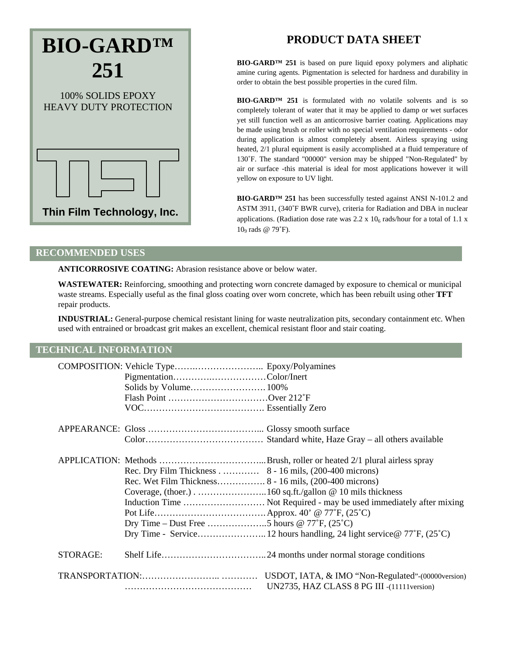# **Thin Film Technology, Inc. BIO-GARD™ 251** 100% SOLIDS EPOXY HEAVY DUTY PROTECTION

# **PRODUCT DATA SHEET**

**BIO-GARD™ 251** is based on pure liquid epoxy polymers and aliphatic amine curing agents. Pigmentation is selected for hardness and durability in order to obtain the best possible properties in the cured film.

**BIO-GARD™ 251** is formulated with *no* volatile solvents and is so completely tolerant of water that it may be applied to damp or wet surfaces yet still function well as an anticorrosive barrier coating. Applications may be made using brush or roller with no special ventilation requirements - odor during application is almost completely absent. Airless spraying using heated, 2/1 plural equipment is easily accomplished at a fluid temperature of 130˚F. The standard "00000" version may be shipped "Non-Regulated" by air or surface -this material is ideal for most applications however it will yellow on exposure to UV light.

**BIO-GARD™ 251** has been successfully tested against ANSI N-101.2 and ASTM 3911, (340˚F BWR curve), criteria for Radiation and DBA in nuclear applications. (Radiation dose rate was  $2.2 \times 10_6$  rads/hour for a total of 1.1 x  $10<sub>9</sub>$  rads @ 79 $\degree$ F).

#### **RECOMMENDED USES**

**ANTICORROSIVE COATING:** Abrasion resistance above or below water.

**WASTEWATER:** Reinforcing, smoothing and protecting worn concrete damaged by exposure to chemical or municipal waste streams. Especially useful as the final gloss coating over worn concrete, which has been rebuilt using other **TFT**  repair products.

**INDUSTRIAL:** General-purpose chemical resistant lining for waste neutralization pits, secondary containment etc. When used with entrained or broadcast grit makes an excellent, chemical resistant floor and stair coating.

## **TECHNICAL INFORMATION**

|          | Solids by Volume 100%<br>Flash Point Over 212°F        |                                                                     |
|----------|--------------------------------------------------------|---------------------------------------------------------------------|
|          |                                                        |                                                                     |
|          | Rec. Dry Film Thickness 8 - 16 mils, (200-400 microns) | Induction Time  Not Required - may be used immediately after mixing |
| STORAGE: |                                                        |                                                                     |
|          |                                                        | UN2735, HAZ CLASS 8 PG III -(11111version)                          |